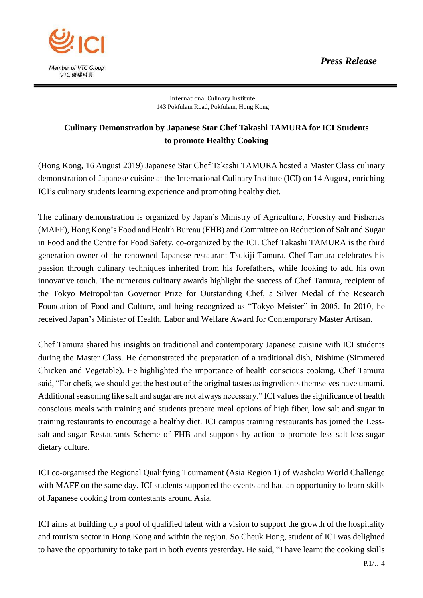

International Culinary Institute 143 Pokfulam Road, Pokfulam, Hong Kong

## **Culinary Demonstration by Japanese Star Chef Takashi TAMURA for ICI Students to promote Healthy Cooking**

(Hong Kong, 16 August 2019) Japanese Star Chef Takashi TAMURA hosted a Master Class culinary demonstration of Japanese cuisine at the International Culinary Institute (ICI) on 14 August, enriching ICI's culinary students learning experience and promoting healthy diet.

The culinary demonstration is organized by Japan's Ministry of Agriculture, Forestry and Fisheries (MAFF), Hong Kong's Food and Health Bureau (FHB) and Committee on Reduction of Salt and Sugar in Food and the Centre for Food Safety, co-organized by the ICI. Chef Takashi TAMURA is the third generation owner of the renowned Japanese restaurant Tsukiji Tamura. Chef Tamura celebrates his passion through culinary techniques inherited from his forefathers, while looking to add his own innovative touch. The numerous culinary awards highlight the success of Chef Tamura, recipient of the Tokyo Metropolitan Governor Prize for Outstanding Chef, a Silver Medal of the Research Foundation of Food and Culture, and being recognized as "Tokyo Meister" in 2005. In 2010, he received Japan's Minister of Health, Labor and Welfare Award for Contemporary Master Artisan.

Chef Tamura shared his insights on traditional and contemporary Japanese cuisine with ICI students during the Master Class. He demonstrated the preparation of a traditional dish, Nishime (Simmered Chicken and Vegetable). He highlighted the importance of health conscious cooking. Chef Tamura said, "For chefs, we should get the best out of the original tastes as ingredients themselves have umami. Additional seasoning like salt and sugar are not always necessary." ICI values the significance of health conscious meals with training and students prepare meal options of high fiber, low salt and sugar in training restaurants to encourage a healthy diet. ICI campus training restaurants has joined the Lesssalt-and-sugar Restaurants Scheme of FHB and supports by action to promote less-salt-less-sugar dietary culture.

ICI co-organised the Regional Qualifying Tournament (Asia Region 1) of Washoku World Challenge with MAFF on the same day. ICI students supported the events and had an opportunity to learn skills of Japanese cooking from contestants around Asia.

ICI aims at building up a pool of qualified talent with a vision to support the growth of the hospitality and tourism sector in Hong Kong and within the region. So Cheuk Hong, student of ICI was delighted to have the opportunity to take part in both events yesterday. He said, "I have learnt the cooking skills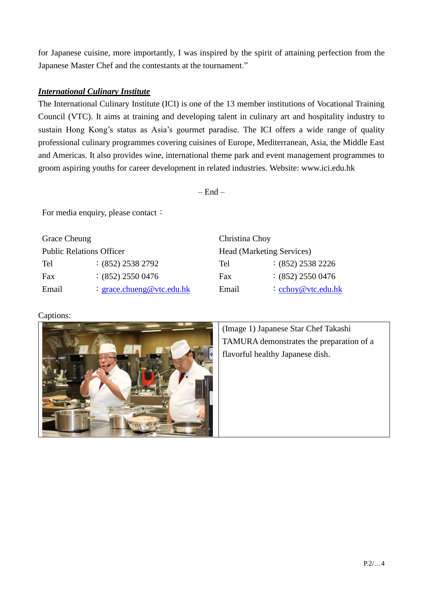for Japanese cuisine, more importantly, I was inspired by the spirit of attaining perfection from the Japanese Master Chef and the contestants at the tournament."

## *International Culinary Institute*

The International Culinary Institute (ICI) is one of the 13 member institutions of Vocational Training Council (VTC). It aims at training and developing talent in culinary art and hospitality industry to sustain Hong Kong's status as Asia's gourmet paradise. The ICI offers a wide range of quality professional culinary programmes covering cuisines of Europe, Mediterranean, Asia, the Middle East and Americas. It also provides wine, international theme park and event management programmes to groom aspiring youths for career development in related industries. Website: [www.ici.edu.hk](http://www.ici.edu.hk/)

 $=$  End  $=$ 

For media enquiry, please contact:

| <b>Grace Cheung</b>             |                           | $\cap$           |
|---------------------------------|---------------------------|------------------|
| <b>Public Relations Officer</b> |                           | H                |
| Tel                             | $:(852)$ 2538 2792        | $\mathrm{T_{f}}$ |
| Fax                             | $(852)$ 2550 0476         | Fε               |
| Email                           | : grace.chueng@vtc.edu.hk | E1               |

| Christina Choy            |                               |  |  |
|---------------------------|-------------------------------|--|--|
| Head (Marketing Services) |                               |  |  |
| Tel                       | $:(852)$ 2538 2226            |  |  |
| Fax                       | $:(852)$ 2550 0476            |  |  |
| Email                     | $\therefore$ cchoy@vtc.edu.hk |  |  |

## Captions:



(Image 1) Japanese Star Chef Takashi TAMURA demonstrates the preparation of a flavorful healthy Japanese dish.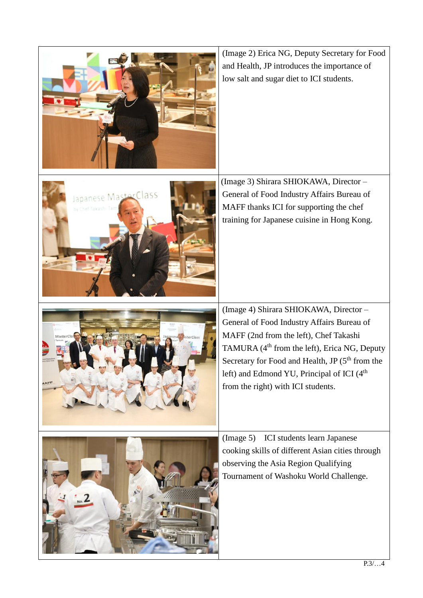

(Image 2) Erica NG, Deputy Secretary for Food and Health, JP introduces the importance of low salt and sugar diet to ICI students.

(Image 3) Shirara SHIOKAWA, Director – General of Food Industry Affairs Bureau of MAFF thanks ICI for supporting the chef training for Japanese cuisine in Hong Kong.

(Image 4) Shirara SHIOKAWA, Director – General of Food Industry Affairs Bureau of MAFF (2nd from the left), Chef Takashi TAMURA  $(4<sup>th</sup>$  from the left), Erica NG, Deputy Secretary for Food and Health, JP  $(5<sup>th</sup>$  from the left) and Edmond YU, Principal of ICI (4<sup>th</sup>) from the right) with ICI students.



 $P.3/...4$